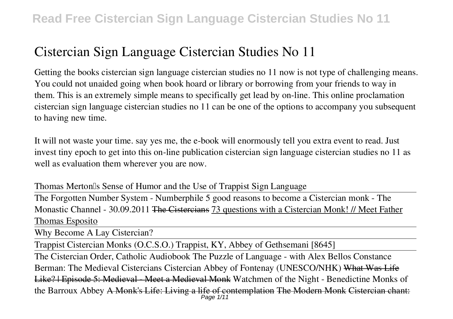Getting the books **cistercian sign language cistercian studies no 11** now is not type of challenging means. You could not unaided going when book hoard or library or borrowing from your friends to way in them. This is an extremely simple means to specifically get lead by on-line. This online proclamation cistercian sign language cistercian studies no 11 can be one of the options to accompany you subsequent to having new time.

It will not waste your time. say yes me, the e-book will enormously tell you extra event to read. Just invest tiny epoch to get into this on-line publication **cistercian sign language cistercian studies no 11** as well as evaluation them wherever you are now.

*Thomas Merton's Sense of Humor and the Use of Trappist Sign Language* The Forgotten Number System - Numberphile 5 good reasons to become a Cistercian monk - The Monastic Channel - 30.09.2011 <del>The Cistercians</del> 73 questions with a Cistercian Monk! // Meet Father Thomas Esposito

Why Become A Lay Cistercian?

Trappist Cistercian Monks (O.C.S.O.) Trappist, KY, Abbey of Gethsemani [8645]

The Cistercian Order, Catholic Audiobook The Puzzle of Language - with Alex Bellos **Constance Berman: The Medieval Cistercians Cistercian Abbey of Fontenay (UNESCO/NHK)** What Was Life Like? | Episode 5: Medieval - Meet a Medieval Monk Watchmen of the Night - Benedictine Monks of the Barroux Abbey <del>A Monk's Life: Living a life of contemplation The Modern Monk Cistercian chant:</del><br>Page 1/11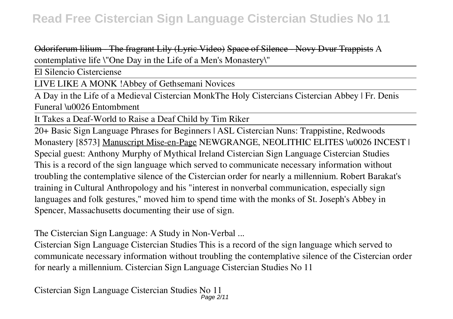Odoriferum lilium - The fragrant Lily (Lyric Video) Space of Silence - Novy Dvur Trappists *A contemplative life \"One Day in the Life of a Men's Monastery\"*

El Silencio Cisterciense

LIVE LIKE A MONK !*Abbey of Gethsemani Novices*

A Day in the Life of a Medieval Cistercian Monk*The Holy Cistercians* Cistercian Abbey | Fr. Denis Funeral \u0026 Entombment

It Takes a Deaf-World to Raise a Deaf Child by Tim Riker

20+ Basic Sign Language Phrases for Beginners | ASL Cistercian Nuns: Trappistine, Redwoods Monastery [8573] Manuscript Mise-en-Page *NEWGRANGE, NEOLITHIC ELITES \u0026 INCEST | Special guest: Anthony Murphy of Mythical Ireland* Cistercian Sign Language Cistercian Studies This is a record of the sign language which served to communicate necessary information without troubling the contemplative silence of the Cistercian order for nearly a millennium. Robert Barakat's training in Cultural Anthropology and his "interest in nonverbal communication, especially sign languages and folk gestures," moved him to spend time with the monks of St. Joseph's Abbey in Spencer, Massachusetts documenting their use of sign.

The Cistercian Sign Language: A Study in Non-Verbal ...

Cistercian Sign Language Cistercian Studies This is a record of the sign language which served to communicate necessary information without troubling the contemplative silence of the Cistercian order for nearly a millennium. Cistercian Sign Language Cistercian Studies No 11

Cistercian Sign Language Cistercian Studies No 11 Page 2/11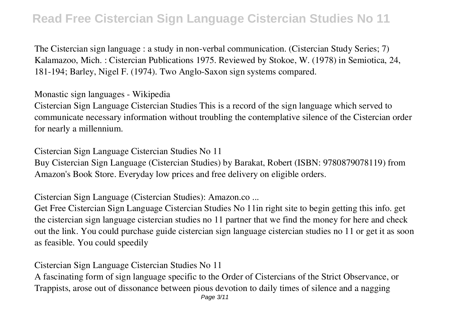The Cistercian sign language : a study in non-verbal communication. (Cistercian Study Series; 7) Kalamazoo, Mich. : Cistercian Publications 1975. Reviewed by Stokoe, W. (1978) in Semiotica, 24, 181-194; Barley, Nigel F. (1974). Two Anglo-Saxon sign systems compared.

Monastic sign languages - Wikipedia

Cistercian Sign Language Cistercian Studies This is a record of the sign language which served to communicate necessary information without troubling the contemplative silence of the Cistercian order for nearly a millennium.

Cistercian Sign Language Cistercian Studies No 11 Buy Cistercian Sign Language (Cistercian Studies) by Barakat, Robert (ISBN: 9780879078119) from Amazon's Book Store. Everyday low prices and free delivery on eligible orders.

Cistercian Sign Language (Cistercian Studies): Amazon.co ...

Get Free Cistercian Sign Language Cistercian Studies No 11in right site to begin getting this info. get the cistercian sign language cistercian studies no 11 partner that we find the money for here and check out the link. You could purchase guide cistercian sign language cistercian studies no 11 or get it as soon as feasible. You could speedily

Cistercian Sign Language Cistercian Studies No 11

A fascinating form of sign language specific to the Order of Cistercians of the Strict Observance, or Trappists, arose out of dissonance between pious devotion to daily times of silence and a nagging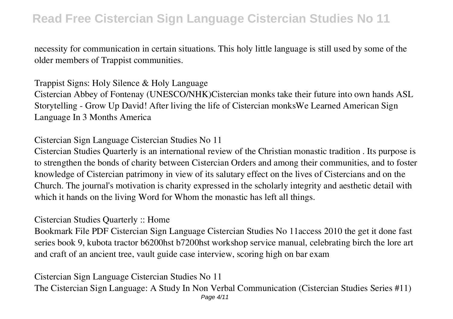necessity for communication in certain situations. This holy little language is still used by some of the older members of Trappist communities.

Trappist Signs: Holy Silence & Holy Language Cistercian Abbey of Fontenay (UNESCO/NHK)Cistercian monks take their future into own hands ASL Storytelling - Grow Up David! After living the life of Cistercian monksWe Learned American Sign Language In 3 Months America

Cistercian Sign Language Cistercian Studies No 11

Cistercian Studies Quarterly is an international review of the Christian monastic tradition . Its purpose is to strengthen the bonds of charity between Cistercian Orders and among their communities, and to foster knowledge of Cistercian patrimony in view of its salutary effect on the lives of Cistercians and on the Church. The journal's motivation is charity expressed in the scholarly integrity and aesthetic detail with which it hands on the living Word for Whom the monastic has left all things.

Cistercian Studies Quarterly :: Home

Bookmark File PDF Cistercian Sign Language Cistercian Studies No 11access 2010 the get it done fast series book 9, kubota tractor b6200hst b7200hst workshop service manual, celebrating birch the lore art and craft of an ancient tree, vault guide case interview, scoring high on bar exam

Cistercian Sign Language Cistercian Studies No 11 The Cistercian Sign Language: A Study In Non Verbal Communication (Cistercian Studies Series #11) Page 4/11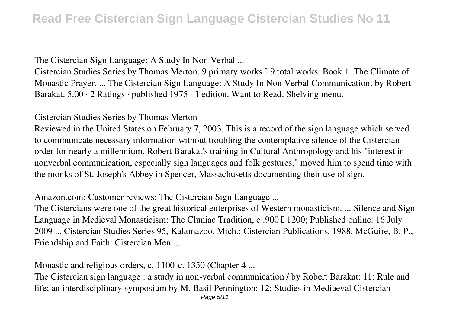The Cistercian Sign Language: A Study In Non Verbal ...

Cistercian Studies Series by Thomas Merton. 9 primary works  $\Box$  9 total works. Book 1. The Climate of Monastic Prayer. ... The Cistercian Sign Language: A Study In Non Verbal Communication. by Robert Barakat. 5.00 · 2 Ratings · published 1975 · 1 edition. Want to Read. Shelving menu.

Cistercian Studies Series by Thomas Merton

Reviewed in the United States on February 7, 2003. This is a record of the sign language which served to communicate necessary information without troubling the contemplative silence of the Cistercian order for nearly a millennium. Robert Barakat's training in Cultural Anthropology and his "interest in nonverbal communication, especially sign languages and folk gestures," moved him to spend time with the monks of St. Joseph's Abbey in Spencer, Massachusetts documenting their use of sign.

Amazon.com: Customer reviews: The Cistercian Sign Language ...

The Cistercians were one of the great historical enterprises of Western monasticism. ... Silence and Sign Language in Medieval Monasticism: The Cluniac Tradition, c .900 | 1200; Published online: 16 July 2009 ... Cistercian Studies Series 95, Kalamazoo, Mich.: Cistercian Publications, 1988. McGuire, B. P., Friendship and Faith: Cistercian Men ...

Monastic and religious orders, c. 1100Lc. 1350 (Chapter 4 ...

The Cistercian sign language : a study in non-verbal communication / by Robert Barakat: 11: Rule and life; an interdisciplinary symposium by M. Basil Pennington: 12: Studies in Mediaeval Cistercian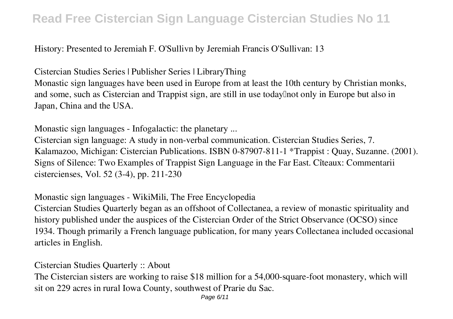#### History: Presented to Jeremiah F. O'Sullivn by Jeremiah Francis O'Sullivan: 13

Cistercian Studies Series | Publisher Series | LibraryThing

Monastic sign languages have been used in Europe from at least the 10th century by Christian monks, and some, such as Cistercian and Trappist sign, are still in use today<sup>[]</sup> not only in Europe but also in Japan, China and the USA.

Monastic sign languages - Infogalactic: the planetary ...

Cistercian sign language: A study in non-verbal communication. Cistercian Studies Series, 7. Kalamazoo, Michigan: Cistercian Publications. ISBN 0-87907-811-1 \*Trappist : Quay, Suzanne. (2001). Signs of Silence: Two Examples of Trappist Sign Language in the Far East. Cîteaux: Commentarii cistercienses, Vol. 52 (3-4), pp. 211-230

Monastic sign languages - WikiMili, The Free Encyclopedia

Cistercian Studies Quarterly began as an offshoot of Collectanea, a review of monastic spirituality and history published under the auspices of the Cistercian Order of the Strict Observance (OCSO) since 1934. Though primarily a French language publication, for many years Collectanea included occasional articles in English.

Cistercian Studies Quarterly :: About

The Cistercian sisters are working to raise \$18 million for a 54,000-square-foot monastery, which will sit on 229 acres in rural Iowa County, southwest of Prarie du Sac.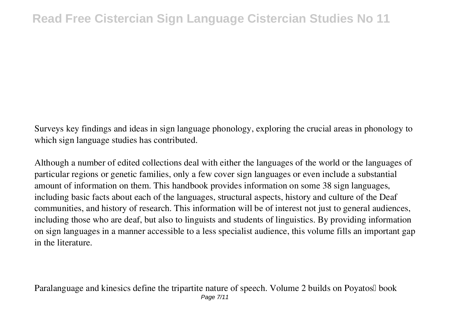Surveys key findings and ideas in sign language phonology, exploring the crucial areas in phonology to which sign language studies has contributed.

Although a number of edited collections deal with either the languages of the world or the languages of particular regions or genetic families, only a few cover sign languages or even include a substantial amount of information on them. This handbook provides information on some 38 sign languages, including basic facts about each of the languages, structural aspects, history and culture of the Deaf communities, and history of research. This information will be of interest not just to general audiences, including those who are deaf, but also to linguists and students of linguistics. By providing information on sign languages in a manner accessible to a less specialist audience, this volume fills an important gap in the literature.

Paralanguage and kinesics define the tripartite nature of speech. Volume 2 builds on Poyatos<sup>[]</sup> book Page 7/11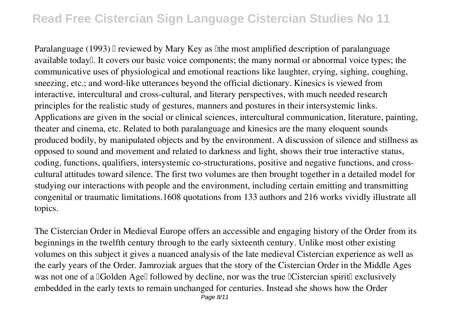Paralanguage (1993) I reviewed by Mary Key as Ithe most amplified description of paralanguage available today<sup>[]</sup>. It covers our basic voice components; the many normal or abnormal voice types; the communicative uses of physiological and emotional reactions like laughter, crying, sighing, coughing, sneezing, etc.; and word-like utterances beyond the official dictionary. Kinesics is viewed from interactive, intercultural and cross-cultural, and literary perspectives, with much needed research principles for the realistic study of gestures, manners and postures in their intersystemic links. Applications are given in the social or clinical sciences, intercultural communication, literature, painting, theater and cinema, etc. Related to both paralanguage and kinesics are the many eloquent sounds produced bodily, by manipulated objects and by the environment. A discussion of silence and stillness as opposed to sound and movement and related to darkness and light, shows their true interactive status, coding, functions, qualifiers, intersystemic co-structurations, positive and negative functions, and crosscultural attitudes toward silence. The first two volumes are then brought together in a detailed model for studying our interactions with people and the environment, including certain emitting and transmitting congenital or traumatic limitations.1608 quotations from 133 authors and 216 works vividly illustrate all topics.

The Cistercian Order in Medieval Europe offers an accessible and engaging history of the Order from its beginnings in the twelfth century through to the early sixteenth century. Unlike most other existing volumes on this subject it gives a nuanced analysis of the late medieval Cistercian experience as well as the early years of the Order. Jamroziak argues that the story of the Cistercian Order in the Middle Ages was not one of a <sup>[</sup>Golden Age<sup>[]</sup> followed by decline, nor was the true <sup>[Core]</sup> Cistercian spirit<sup>[]</sup> exclusively embedded in the early texts to remain unchanged for centuries. Instead she shows how the Order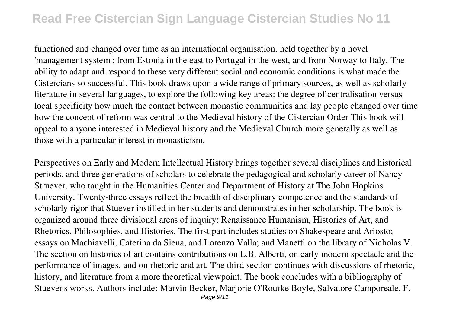functioned and changed over time as an international organisation, held together by a novel 'management system'; from Estonia in the east to Portugal in the west, and from Norway to Italy. The ability to adapt and respond to these very different social and economic conditions is what made the Cistercians so successful. This book draws upon a wide range of primary sources, as well as scholarly literature in several languages, to explore the following key areas: the degree of centralisation versus local specificity how much the contact between monastic communities and lay people changed over time how the concept of reform was central to the Medieval history of the Cistercian Order This book will appeal to anyone interested in Medieval history and the Medieval Church more generally as well as those with a particular interest in monasticism.

Perspectives on Early and Modern Intellectual History brings together several disciplines and historical periods, and three generations of scholars to celebrate the pedagogical and scholarly career of Nancy Struever, who taught in the Humanities Center and Department of History at The John Hopkins University. Twenty-three essays reflect the breadth of disciplinary competence and the standards of scholarly rigor that Stuever instilled in her students and demonstrates in her scholarship. The book is organized around three divisional areas of inquiry: Renaissance Humanism, Histories of Art, and Rhetorics, Philosophies, and Histories. The first part includes studies on Shakespeare and Ariosto; essays on Machiavelli, Caterina da Siena, and Lorenzo Valla; and Manetti on the library of Nicholas V. The section on histories of art contains contributions on L.B. Alberti, on early modern spectacle and the performance of images, and on rhetoric and art. The third section continues with discussions of rhetoric, history, and literature from a more theoretical viewpoint. The book concludes with a bibliography of Stuever's works. Authors include: Marvin Becker, Marjorie O'Rourke Boyle, Salvatore Camporeale, F.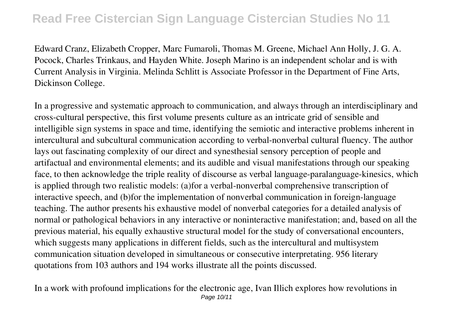Edward Cranz, Elizabeth Cropper, Marc Fumaroli, Thomas M. Greene, Michael Ann Holly, J. G. A. Pocock, Charles Trinkaus, and Hayden White. Joseph Marino is an independent scholar and is with Current Analysis in Virginia. Melinda Schlitt is Associate Professor in the Department of Fine Arts, Dickinson College.

In a progressive and systematic approach to communication, and always through an interdisciplinary and cross-cultural perspective, this first volume presents culture as an intricate grid of sensible and intelligible sign systems in space and time, identifying the semiotic and interactive problems inherent in intercultural and subcultural communication according to verbal-nonverbal cultural fluency. The author lays out fascinating complexity of our direct and synesthesial sensory perception of people and artifactual and environmental elements; and its audible and visual manifestations through our speaking face, to then acknowledge the triple reality of discourse as verbal language-paralanguage-kinesics, which is applied through two realistic models: (a)for a verbal-nonverbal comprehensive transcription of interactive speech, and (b)for the implementation of nonverbal communication in foreign-language teaching. The author presents his exhaustive model of nonverbal categories for a detailed analysis of normal or pathological behaviors in any interactive or noninteractive manifestation; and, based on all the previous material, his equally exhaustive structural model for the study of conversational encounters, which suggests many applications in different fields, such as the intercultural and multisystem communication situation developed in simultaneous or consecutive interpretating. 956 literary quotations from 103 authors and 194 works illustrate all the points discussed.

In a work with profound implications for the electronic age, Ivan Illich explores how revolutions in Page 10/11